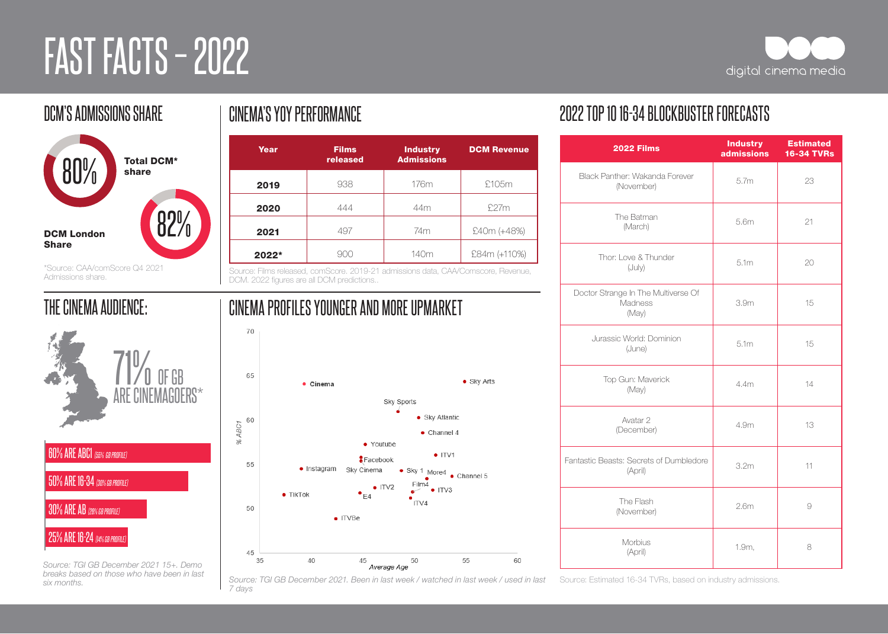# FAST FACTS - 2022



### DCM'S ADMISSIONS SHARE Total DCM\*  $\begin{array}{c} 80\% \\[-4pt] 80\% \end{array}$  share 82% DCM London Share

\*Source: CAA/comScore Q4 2021 Admissions share.

#### THE CINEMA AUDIENCE:



25% ARE 16-24 *(14% GB PROFILE)*

*Source: TGI GB December 2021 15+. Demo breaks based on those who have been in last six months.* 

#### CINEMA'S YOY PERFORMANCE

| Year  | <b>Films</b><br>released | <b>Industry</b><br><b>Admissions</b> | <b>DCM Revenue</b> |
|-------|--------------------------|--------------------------------------|--------------------|
| 2019  | 938                      | 176m                                 | £105m              |
| 2020  | 444                      | 44m                                  | £27m               |
| 2021  | 497                      | 74m                                  | £40m (+48%)        |
| 2022* | 900                      | 140m                                 | £84m (+110%)       |

Source: Films released, comScore. 2019-21 admissions data, CAA/Comscore, Revenue, DCM. 2022 figures are all DCM predictions..

CINEMA PROFILES YOUNGER AND MORE UPMARKET

#### 70 65 • Sky Arts · Cinema Sky Sports • Sky Atlantic 60 % ABC1  $\bullet$  Channel 4 · Youtube  $\bullet$  ITV1 Facebook 55 · Instagram Sky Cinema Sky 1 More4 • Channel 5 Film4  $\bullet$  ITV2  $\bullet$  ITV3  $\overline{\phantom{a}}$  $\bullet$  TikTok  $\bullet$ <sub>E4</sub> ITV4 50  $\bullet$  ITVBe



Source: TGI GB December 2021. Been in last week / watched in last week / used in last Source: Estimated 16-34 TVRs, based on industry admissions. *7 days*

#### 2022 TOP 10 16-34 BLOCKBUSTER FORECASTS

| <b>2022 Films</b>                                       | <b>Industry</b><br>admissions | <b>Estimated</b><br><b>16-34 TVRs</b> |
|---------------------------------------------------------|-------------------------------|---------------------------------------|
| Black Panther: Wakanda Forever<br>(November)            | 5.7m                          | 23                                    |
| The Batman<br>(March)                                   | 5.6m                          | 21                                    |
| Thor: I ove & Thunder<br>(July)                         | 5.1 <sub>m</sub>              | 20                                    |
| Doctor Strange In The Multiverse Of<br>Madness<br>(May) | 3.9 <sub>m</sub>              | 15                                    |
| Jurassic World: Dominion<br>(June)                      | 5.1m                          | 15                                    |
| Top Gun: Maverick<br>(May)                              | 4.4m                          | 14                                    |
| Avatar 2<br>(December)                                  | 4.9m                          | 13                                    |
| Fantastic Beasts: Secrets of Dumbledore<br>(April)      | 3.2 <sub>m</sub>              | 11                                    |
| The Flash<br>(November)                                 | 2.6 <sub>m</sub>              | 9                                     |
| Morbius<br>(April)                                      | 1.9m,                         | 8                                     |